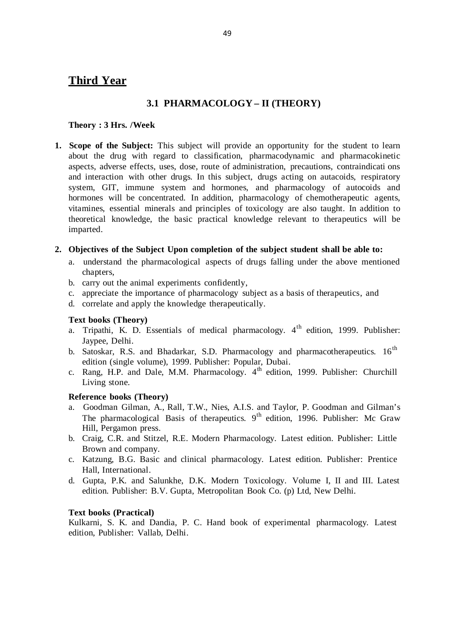# **Third Year**

# **3.1 PHARMACOLOGY – II (THEORY)**

#### **Theory : 3 Hrs. /Week**

**1. Scope of the Subject:** This subject will provide an opportunity for the student to learn about the drug with regard to classification, pharmacodynamic and pharmacokinetic aspects, adverse effects, uses, dose, route of administration, precautions, contraindicati ons and interaction with other drugs. In this subject, drugs acting on autacoids, respiratory system, GIT, immune system and hormones, and pharmacology of autocoids and hormones will be concentrated. In addition, pharmacology of chemotherapeutic agents, vitamines, essential minerals and principles of toxicology are also taught. In addition to theoretical knowledge, the basic practical knowledge relevant to therapeutics will be imparted.

#### 2. Objectives of the Subject Upon completion of the subject student shall be able to:

- a. understand the pharmacological aspects of drugs falling under the above mentioned chapters,
- b. carry out the animal experiments confidently,
- c. appreciate the importance of pharmacology subject as a basis of therapeutics, and
- d. correlate and apply the knowledge therapeutically.

# **Text books (Theory)**

- a. Tripathi, K. D. Essentials of medical pharmacology.  $4<sup>th</sup>$  edition, 1999. Publisher: Jaypee, Delhi.
- b. Satoskar, R.S. and Bhadarkar, S.D. Pharmacology and pharmacotherapeutics.  $16<sup>th</sup>$ edition (single volume), 1999. Publisher: Popular, Dubai.
- c. Rang, H.P. and Dale, M.M. Pharmacology.  $4<sup>th</sup>$  edition, 1999. Publisher: Churchill Living stone.

# **Reference books (Theory)**

- a. Goodman Gilman, A., Rall, T.W., Nies, A.I.S. and Taylor, P. Goodman and Gilman's The pharmacological Basis of therapeutics.  $9<sup>th</sup>$  edition, 1996. Publisher: Mc Graw Hill, Pergamon press.
- b. Craig, C.R. and Stitzel, R.E. Modern Pharmacology. Latest edition. Publisher: Little Brown and company.
- c. Katzung, B.G. Basic and clinical pharmacology. Latest edition. Publisher: Prentice Hall, International.
- d. Gupta, P.K. and Salunkhe, D.K. Modern Toxicology. Volume I, II and III. Latest edition. Publisher: B.V. Gupta, Metropolitan Book Co. (p) Ltd, New Delhi.

# **Text books (Practical)**

Kulkarni, S. K. and Dandia, P. C. Hand book of experimental pharmacology. Latest edition, Publisher: Vallab, Delhi.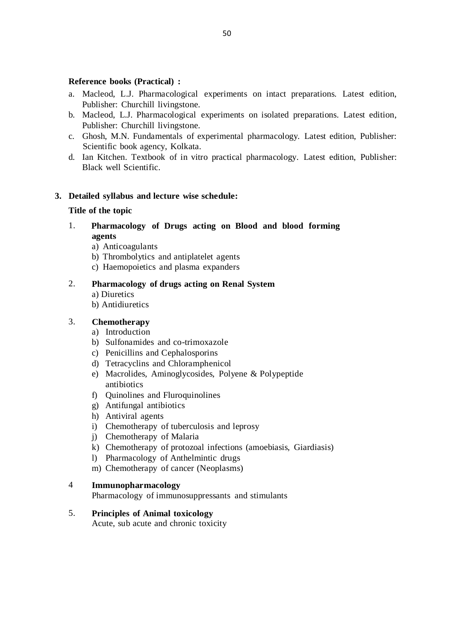#### **Reference books (Practical) :**

- a. Macleod, L.J. Pharmacological experiments on intact preparations. Latest edition, Publisher: Churchill livingstone.
- b. Macleod, L.J. Pharmacological experiments on isolated preparations. Latest edition, Publisher: Churchill livingstone.
- c. Ghosh, M.N. Fundamentals of experimental pharmacology. Latest edition, Publisher: Scientific book agency, Kolkata.
- d. Ian Kitchen. Textbook of in vitro practical pharmacology. Latest edition, Publisher: Black well Scientific.

### **3. Detailed syllabus and lecture wise schedule:**

#### **Title of the topic**

- 1. **Pharmacology of Drugs acting on Blood and blood forming agents**
	- a) Anticoagulants
	- b) Thrombolytics and antiplatelet agents
	- c) Haemopoietics and plasma expanders

## 2. **Pharmacology of drugs acting on Renal System**

- a) Diuretics
- b) Antidiuretics

# 3. **Chemotherapy**

- a) Introduction
- b) Sulfonamides and co-trimoxazole
- c) Penicillins and Cephalosporins
- d) Tetracyclins and Chloramphenicol
- e) Macrolides, Aminoglycosides, Polyene & Polypeptide antibiotics
- f) Quinolines and Fluroquinolines
- g) Antifungal antibiotics
- h) Antiviral agents
- i) Chemotherapy of tuberculosis and leprosy
- j) Chemotherapy of Malaria
- k) Chemotherapy of protozoal infections (amoebiasis, Giardiasis)
- l) Pharmacology of Anthelmintic drugs
- m) Chemotherapy of cancer (Neoplasms)

## 4 **Immunopharmacology**

Pharmacology of immunosuppressants and stimulants

# 5. **Principles of Animal toxicology**

Acute, sub acute and chronic toxicity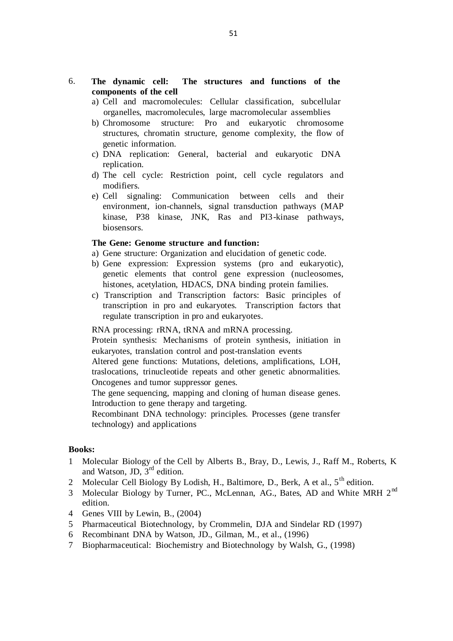- 6. **The dynamic cell: The structures and functions of the components of the cell**
	- a) Cell and macromolecules: Cellular classification, subcellular organelles, macromolecules, large macromolecular assemblies
	- b) Chromosome structure: Pro and eukaryotic chromosome structures, chromatin structure, genome complexity, the flow of genetic information.
	- c) DNA replication: General, bacterial and eukaryotic DNA replication.
	- d) The cell cycle: Restriction point, cell cycle regulators and modifiers.
	- e) Cell signaling: Communication between cells and their environment, ion-channels, signal transduction pathways (MAP kinase, P38 kinase, JNK, Ras and PI3 -kinase pathways, biosensors.

#### **The Gene: Genome structure and function:**

- a) Gene structure: Organization and elucidation of genetic code.
- b) Gene expression: Expression systems (pro and eukaryotic), genetic elements that control gene expression (nucleosomes, histones, acetylation, HDACS, DNA binding protein families.
- c) Transcription and Transcription factors: Basic principles of transcription in pro and eukaryotes. Transcription factors that regulate transcription in pro and eukaryotes.

RNA processing: rRNA, tRNA and mRNA processing.

Protein synthesis: Mechanisms of protein synthesis, initiation in eukaryotes, translation control and post-translation events

Altered gene functions: Mutations, deletions, amplifications, LOH, traslocations, trinucleotide repeats and other genetic abnormalities. Oncogenes and tumor suppressor genes.

The gene sequencing, mapping and cloning of human disease genes. Introduction to gene therapy and targeting.

Recombinant DNA technology: principles. Processes (gene transfer technology) and applications

#### **Books:**

- 1 Molecular Biology of the Cell by Alberts B., Bray, D., Lewis, J., Raff M., Roberts, K and Watson, JD,  $3<sup>rd</sup>$  edition.
- 2 Molecular Cell Biology By Lodish, H., Baltimore, D., Berk, A et al., 5<sup>th</sup> edition.
- 3 Molecular Biology by Turner, PC., McLennan, AG., Bates, AD and White MRH 2<sup>nd</sup> edition.
- 4 Genes VIII by Lewin, B., (2004)
- 5 Pharmaceutical Biotechnology, by Crommelin, DJA and Sindelar RD (1997)
- 6 Recombinant DNA by Watson, JD., Gilman, M., et al., (1996)
- 7 Biopharmaceutical: Biochemistry and Biotechnology by Walsh, G., (1998)